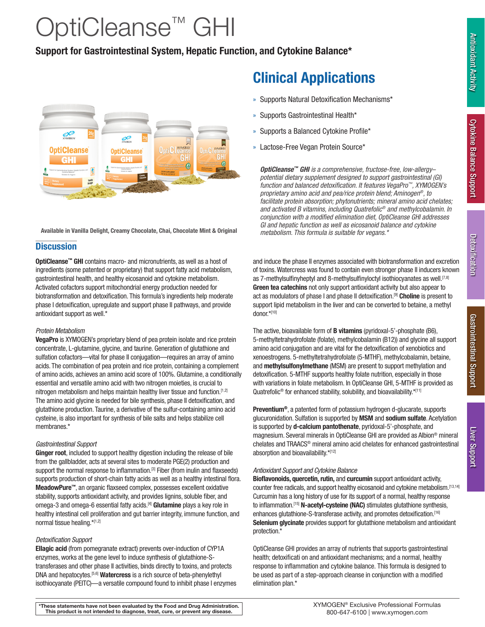# OptiCleanse™ GHI

## Support for Gastrointestinal System, Hepatic Function, and Cytokine Balance\*



*metabolism. This formula is suitable for vegans.\** Available in Vanilla Delight, Creamy Chocolate, Chai, Chocolate Mint & Original

### **Discussion**

OptiCleanse™ GHI contains macro- and micronutrients, as well as a host of ingredients (some patented or proprietary) that support fatty acid metabolism, gastrointestinal health, and healthy eicosanoid and cytokine metabolism. Activated cofactors support mitochondrial energy production needed for biotransformation and detoxification. This formula's ingredients help moderate phase I detoxification, upregulate and support phase II pathways, and provide antioxidant support as well.\*

### *Protein Metabolism*

VegaPro is XYMOGEN's proprietary blend of pea protein isolate and rice protein concentrate, L-glutamine, glycine, and taurine. Generation of glutathione and sulfation cofactors—vital for phase II conjugation—requires an array of amino acids. The combination of pea protein and rice protein, containing a complement of amino acids, achieves an amino acid score of 100%. Glutamine, a conditionally essential and versatile amino acid with two nitrogen moieties, is crucial to nitrogen metabolism and helps maintain healthy liver tissue and function.<sup>[1,2]</sup> The amino acid glycine is needed for bile synthesis, phase II detoxification, and glutathione production. Taurine, a derivative of the sulfur-containing amino acid cysteine, is also important for synthesis of bile salts and helps stabilize cell membranes.\*

### *Gastrointestinal Support*

Ginger root, included to support healthy digestion including the release of bile from the gallbladder, acts at several sites to moderate PGE(2) production and support the normal response to inflammation.<sup>[3]</sup> Fiber (from inulin and flaxseeds) supports production of short-chain fatty acids as well as a healthy intestinal flora. MeadowPure<sup>™</sup>, an organic flaxseed complex, possesses excellent oxidative stability, supports antioxidant activity, and provides lignins, soluble fiber, and omega-3 and omega-6 essential fatty acids.<sup>[4]</sup> Glutamine plays a key role in healthy intestinal cell proliferation and gut barrier integrity, immune function, and normal tissue healing.\*[1,2]

### *Detoxification Support*

Ellagic acid (from pomegranate extract) prevents over-induction of CYP1A enzymes, works at the gene level to induce synthesis of glutathione-Stransferases and other phase II activities, binds directly to toxins, and protects DNA and hepatocytes.<sup>[5,6]</sup> Watercress is a rich source of beta-phenylethyl isothiocyanate (PEITC)—a versatile compound found to inhibit phase I enzymes

# Clinical Applications

- » Supports Natural Detoxification Mechanisms\*
- » Supports Gastrointestinal Health\*
- » Supports a Balanced Cytokine Profile\*
- » Lactose-Free Vegan Protein Source\*

*OptiCleanse™ GHI is a comprehensive, fructose-free, low-allergy– potential dietary supplement designed to support gastrointestinal (GI) function and balanced detoxification. It features VegaPro™, XYMOGEN's proprietary amino acid and pea/rice protein blend; Aminogen®, to facilitate protein absorption; phytonutrients; mineral amino acid chelates; and activated B vitamins, including Quatrefolic® and methylcobalamin. In conjunction with a modified elimination diet, OptiCleanse GHI addresses GI and hepatic function as well as eicosanoid balance and cytokine* 

and induce the phase II enzymes associated with biotransformation and excretion of toxins. Watercress was found to contain even stronger phase II inducers known as 7-methylsulfinyheptyl and 8-methylsulfinyloctyl isothiocyanates as well.<sup>[7,8]</sup> Green tea catechins not only support antioxidant activity but also appear to act as modulators of phase I and phase II detoxification.<sup>[9]</sup> Choline is present to support lipid metabolism in the liver and can be converted to betaine, a methyl donor.\*[10]

The active, bioavailable form of **B vitamins** (pyridoxal-5'-phosphate (B6), 5-methyltetrahydrofolate (folate), methylcobalamin (B12)) and glycine all support amino acid conjugation and are vital for the detoxification of xenobiotics and xenoestrogens. 5-methyltetrahydrofolate (5-MTHF), methylcobalamin, betaine, and methylsulfonylmethane (MSM) are present to support methylation and detoxification. 5-MTHF supports healthy folate nutrition, especially in those with variations in folate metabolism. In OptiCleanse GHI, 5-MTHF is provided as Quatrefolic<sup>®</sup> for enhanced stability, solubility, and bioavailability.\*[11]

Preventium®, a patented form of potassium hydrogen d-glucarate, supports glucuronidation. Sulfation is supported by MSM and sodium sulfate. Acetylation is supported by **d-calcium pantothenate**, pyridoxal-5'-phosphate, and magnesium. Several minerals in OptiCleanse GHI are provided as Albion® mineral chelates and TRAACS® mineral amino acid chelates for enhanced gastrointestinal absorption and bioavailability.\*[12]

### *Antioxidant Support and Cytokine Balance*

Bioflavonoids, quercetin, rutin, and curcumin support antioxidant activity, counter free radicals, and support healthy eicosanoid and cytokine metabolism.[13,14] Curcumin has a long history of use for its support of a normal, healthy response to inflammation.<sup>[15]</sup> N-acetyl-cysteine (NAC) stimulates glutathione synthesis, enhances glutathione-S-transferase activity, and promotes detoxification.[16] Selenium glycinate provides support for glutathione metabolism and antioxidant protection.\*

OptiCleanse GHI provides an array of nutrients that supports gastrointestinal health; detoxificati on and antioxidant mechanisms; and a normal, healthy response to inflammation and cytokine balance. This formula is designed to be used as part of a step-approach cleanse in conjunction with a modified elimination plan.\*